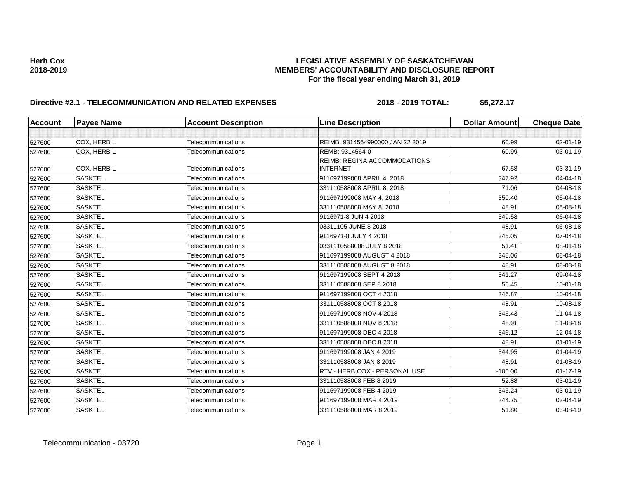# **Directive #2.1 - TELECOMMUNICATION AND RELATED EXPENSES** 2018 - 2018 - 2019 TOTAL: \$5,272.17

| <b>Account</b> | <b>Payee Name</b> | <b>Account Description</b> | <b>Line Description</b>             | <b>Dollar Amount</b> | <b>Cheque Date</b> |
|----------------|-------------------|----------------------------|-------------------------------------|----------------------|--------------------|
|                |                   |                            |                                     |                      |                    |
| 527600         | COX. HERB L       | Telecommunications         | REIMB: 9314564990000 JAN 22 2019    | 60.99                | 02-01-19           |
| 527600         | COX, HERB L       | Telecommunications         | REMB: 9314564-0                     | 60.99                | 03-01-19           |
|                |                   |                            | <b>REIMB: REGINA ACCOMMODATIONS</b> |                      |                    |
| 527600         | COX, HERB L       | Telecommunications         | <b>INTERNET</b>                     | 67.58                | 03-31-19           |
| 527600         | <b>SASKTEL</b>    | Telecommunications         | 911697199008 APRIL 4, 2018          | 347.92               | 04-04-18           |
| 527600         | <b>SASKTEL</b>    | Telecommunications         | 331110588008 APRIL 8, 2018          | 71.06                | 04-08-18           |
| 527600         | <b>SASKTEL</b>    | Telecommunications         | 911697199008 MAY 4, 2018            | 350.40               | 05-04-18           |
| 527600         | <b>SASKTEL</b>    | Telecommunications         | 331110588008 MAY 8, 2018            | 48.91                | 05-08-18           |
| 527600         | <b>SASKTEL</b>    | Telecommunications         | 9116971-8 JUN 4 2018                | 349.58               | 06-04-18           |
| 527600         | <b>SASKTEL</b>    | Telecommunications         | 03311105 JUNE 8 2018                | 48.91                | 06-08-18           |
| 527600         | <b>SASKTEL</b>    | Telecommunications         | 9116971-8 JULY 4 2018               | 345.05               | 07-04-18           |
| 527600         | <b>SASKTEL</b>    | Telecommunications         | 0331110588008 JULY 8 2018           | 51.41                | 08-01-18           |
| 527600         | <b>SASKTEL</b>    | Telecommunications         | 911697199008 AUGUST 4 2018          | 348.06               | 08-04-18           |
| 527600         | <b>SASKTEL</b>    | Telecommunications         | 331110588008 AUGUST 8 2018          | 48.91                | 08-08-18           |
| 527600         | <b>SASKTEL</b>    | Telecommunications         | 911697199008 SEPT 4 2018            | 341.27               | 09-04-18           |
| 527600         | <b>SASKTEL</b>    | Telecommunications         | 331110588008 SEP 8 2018             | 50.45                | $10 - 01 - 18$     |
| 527600         | <b>SASKTEL</b>    | Telecommunications         | 911697199008 OCT 4 2018             | 346.87               | 10-04-18           |
| 527600         | <b>SASKTEL</b>    | Telecommunications         | 331110588008 OCT 8 2018             | 48.91                | 10-08-18           |
| 527600         | <b>SASKTEL</b>    | Telecommunications         | 911697199008 NOV 4 2018             | 345.43               | 11-04-18           |
| 527600         | <b>SASKTEL</b>    | Telecommunications         | 331110588008 NOV 8 2018             | 48.91                | 11-08-18           |
| 527600         | <b>SASKTEL</b>    | Telecommunications         | 911697199008 DEC 4 2018             | 346.12               | 12-04-18           |
| 527600         | <b>SASKTEL</b>    | Telecommunications         | 331110588008 DEC 8 2018             | 48.91                | $01 - 01 - 19$     |
| 527600         | <b>SASKTEL</b>    | Telecommunications         | 911697199008 JAN 4 2019             | 344.95               | $01 - 04 - 19$     |
| 527600         | <b>SASKTEL</b>    | Telecommunications         | 331110588008 JAN 8 2019             | 48.91                | 01-08-19           |
| 527600         | <b>SASKTEL</b>    | Telecommunications         | RTV - HERB COX - PERSONAL USE       | $-100.00$            | $01 - 17 - 19$     |
| 527600         | <b>SASKTEL</b>    | Telecommunications         | 331110588008 FEB 8 2019             | 52.88                | 03-01-19           |
| 527600         | <b>SASKTEL</b>    | Telecommunications         | 911697199008 FEB 4 2019             | 345.24               | 03-01-19           |
| 527600         | <b>SASKTEL</b>    | Telecommunications         | 911697199008 MAR 4 2019             | 344.75               | 03-04-19           |
| 527600         | <b>SASKTEL</b>    | Telecommunications         | 331110588008 MAR 8 2019             | 51.80                | 03-08-19           |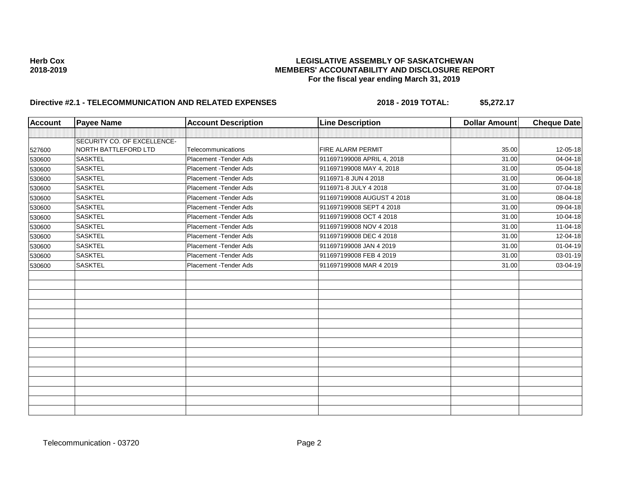# **Directive #2.1 - TELECOMMUNICATION AND RELATED EXPENSES** 2018 - 2018 - 2019 TOTAL: \$5,272.17

| <b>Account</b> | <b>Payee Name</b>           | <b>Account Description</b> | <b>Line Description</b>    | <b>Dollar Amount</b> | <b>Cheque Date</b> |
|----------------|-----------------------------|----------------------------|----------------------------|----------------------|--------------------|
|                |                             |                            |                            |                      |                    |
|                | SECURITY CO. OF EXCELLENCE- |                            |                            |                      |                    |
| 527600         | NORTH BATTLEFORD LTD        | Telecommunications         | <b>FIRE ALARM PERMIT</b>   | 35.00                | 12-05-18           |
| 530600         | <b>SASKTEL</b>              | Placement - Tender Ads     | 911697199008 APRIL 4, 2018 | 31.00                | 04-04-18           |
| 530600         | <b>SASKTEL</b>              | Placement - Tender Ads     | 911697199008 MAY 4, 2018   | 31.00                | 05-04-18           |
| 530600         | <b>SASKTEL</b>              | Placement - Tender Ads     | 9116971-8 JUN 4 2018       | 31.00                | 06-04-18           |
| 530600         | <b>SASKTEL</b>              | Placement - Tender Ads     | 9116971-8 JULY 4 2018      | 31.00                | 07-04-18           |
| 530600         | <b>SASKTEL</b>              | Placement - Tender Ads     | 911697199008 AUGUST 4 2018 | 31.00                | 08-04-18           |
| 530600         | <b>SASKTEL</b>              | Placement - Tender Ads     | 911697199008 SEPT 4 2018   | 31.00                | 09-04-18           |
| 530600         | <b>SASKTEL</b>              | Placement - Tender Ads     | 911697199008 OCT 4 2018    | 31.00                | $10-04-18$         |
| 530600         | <b>SASKTEL</b>              | Placement - Tender Ads     | 911697199008 NOV 4 2018    | 31.00                | $11-04-18$         |
| 530600         | <b>SASKTEL</b>              | Placement - Tender Ads     | 911697199008 DEC 4 2018    | 31.00                | 12-04-18           |
| 530600         | <b>SASKTEL</b>              | Placement - Tender Ads     | 911697199008 JAN 4 2019    | 31.00                | $01 - 04 - 19$     |
| 530600         | <b>SASKTEL</b>              | Placement - Tender Ads     | 911697199008 FEB 4 2019    | 31.00                | 03-01-19           |
| 530600         | <b>SASKTEL</b>              | Placement - Tender Ads     | 911697199008 MAR 4 2019    | 31.00                | 03-04-19           |
|                |                             |                            |                            |                      |                    |
|                |                             |                            |                            |                      |                    |
|                |                             |                            |                            |                      |                    |
|                |                             |                            |                            |                      |                    |
|                |                             |                            |                            |                      |                    |
|                |                             |                            |                            |                      |                    |
|                |                             |                            |                            |                      |                    |
|                |                             |                            |                            |                      |                    |
|                |                             |                            |                            |                      |                    |
|                |                             |                            |                            |                      |                    |
|                |                             |                            |                            |                      |                    |
|                |                             |                            |                            |                      |                    |
|                |                             |                            |                            |                      |                    |
|                |                             |                            |                            |                      |                    |
|                |                             |                            |                            |                      |                    |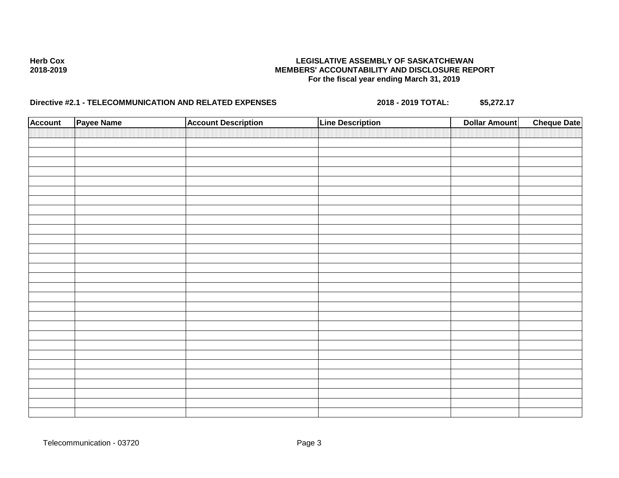# **Directive #2.1 - TELECOMMUNICATION AND RELATED EXPENSES** 2018 - 2018 - 2019 TOTAL: \$5,272.17

| <b>Account</b> | Payee Name | <b>Account Description</b> | <b>Line Description</b> | <b>Dollar Amount</b> | <b>Cheque Date</b> |
|----------------|------------|----------------------------|-------------------------|----------------------|--------------------|
|                |            |                            |                         |                      |                    |
|                |            |                            |                         |                      |                    |
|                |            |                            |                         |                      |                    |
|                |            |                            |                         |                      |                    |
|                |            |                            |                         |                      |                    |
|                |            |                            |                         |                      |                    |
|                |            |                            |                         |                      |                    |
|                |            |                            |                         |                      |                    |
|                |            |                            |                         |                      |                    |
|                |            |                            |                         |                      |                    |
|                |            |                            |                         |                      |                    |
|                |            |                            |                         |                      |                    |
|                |            |                            |                         |                      |                    |
|                |            |                            |                         |                      |                    |
|                |            |                            |                         |                      |                    |
|                |            |                            |                         |                      |                    |
|                |            |                            |                         |                      |                    |
|                |            |                            |                         |                      |                    |
|                |            |                            |                         |                      |                    |
|                |            |                            |                         |                      |                    |
|                |            |                            |                         |                      |                    |
|                |            |                            |                         |                      |                    |
|                |            |                            |                         |                      |                    |
|                |            |                            |                         |                      |                    |
|                |            |                            |                         |                      |                    |
|                |            |                            |                         |                      |                    |
|                |            |                            |                         |                      |                    |
|                |            |                            |                         |                      |                    |

Telecommunication - 03720 Page 3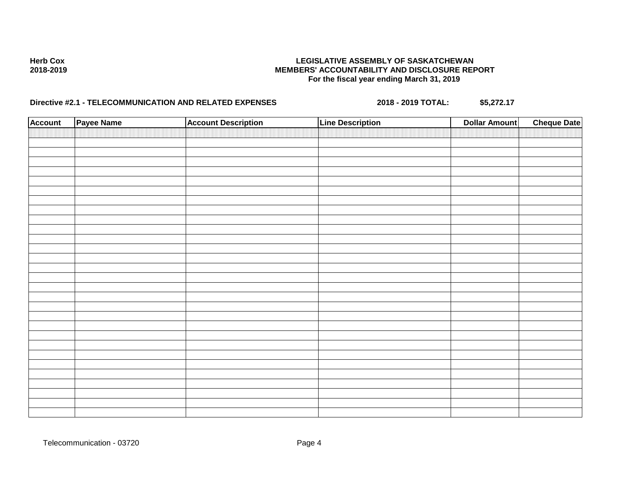# **Directive #2.1 - TELECOMMUNICATION AND RELATED EXPENSES** 2018 - 2018 - 2019 TOTAL: \$5,272.17

| <b>Account</b> | Payee Name | <b>Account Description</b> | <b>Line Description</b> | <b>Dollar Amount</b> | <b>Cheque Date</b> |
|----------------|------------|----------------------------|-------------------------|----------------------|--------------------|
|                |            |                            |                         |                      |                    |
|                |            |                            |                         |                      |                    |
|                |            |                            |                         |                      |                    |
|                |            |                            |                         |                      |                    |
|                |            |                            |                         |                      |                    |
|                |            |                            |                         |                      |                    |
|                |            |                            |                         |                      |                    |
|                |            |                            |                         |                      |                    |
|                |            |                            |                         |                      |                    |
|                |            |                            |                         |                      |                    |
|                |            |                            |                         |                      |                    |
|                |            |                            |                         |                      |                    |
|                |            |                            |                         |                      |                    |
|                |            |                            |                         |                      |                    |
|                |            |                            |                         |                      |                    |
|                |            |                            |                         |                      |                    |
|                |            |                            |                         |                      |                    |
|                |            |                            |                         |                      |                    |
|                |            |                            |                         |                      |                    |
|                |            |                            |                         |                      |                    |
|                |            |                            |                         |                      |                    |
|                |            |                            |                         |                      |                    |
|                |            |                            |                         |                      |                    |
|                |            |                            |                         |                      |                    |
|                |            |                            |                         |                      |                    |
|                |            |                            |                         |                      |                    |
|                |            |                            |                         |                      |                    |
|                |            |                            |                         |                      |                    |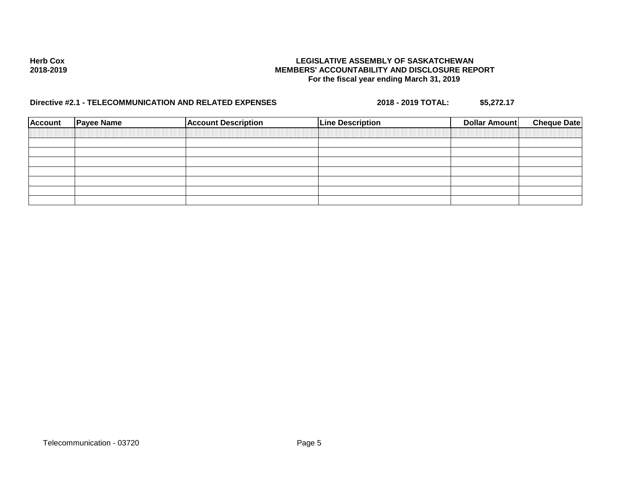# **Directive #2.1 - TELECOMMUNICATION AND RELATED EXPENSES** 2018 - 2018 - 2019 TOTAL: \$5,272.17

| Account | <b>Payee Name</b> | <b>Account Description</b> | <b>Line Description</b> | <b>Dollar Amount</b> | <b>Cheque Date</b> |
|---------|-------------------|----------------------------|-------------------------|----------------------|--------------------|
|         |                   |                            |                         |                      |                    |
|         |                   |                            |                         |                      |                    |
|         |                   |                            |                         |                      |                    |
|         |                   |                            |                         |                      |                    |
|         |                   |                            |                         |                      |                    |
|         |                   |                            |                         |                      |                    |
|         |                   |                            |                         |                      |                    |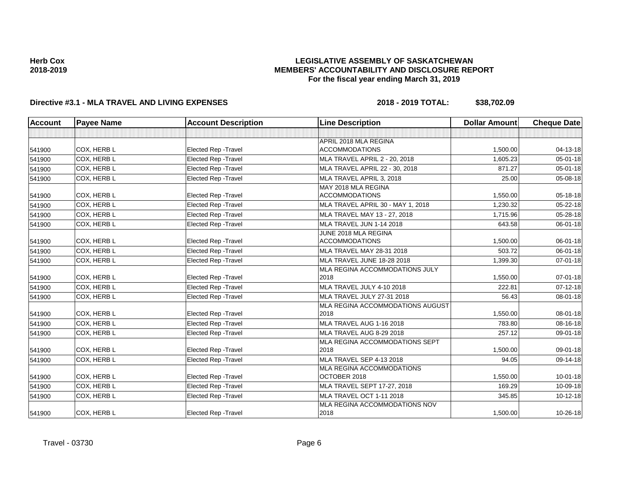### **LEGISLATIVE ASSEMBLY OF SASKATCHEWAN MEMBERS' ACCOUNTABILITY AND DISCLOSURE REPORT For the fiscal year ending March 31, 2019**

# **Directive #3.1 - MLA TRAVEL AND LIVING EXPENSES 2018 - 2019 TOTAL: \$38,702.09**

| <b>Account</b> | <b>Payee Name</b> | <b>Account Description</b>  | <b>Line Description</b>              | <b>Dollar Amount</b> | <b>Cheque Date</b> |
|----------------|-------------------|-----------------------------|--------------------------------------|----------------------|--------------------|
|                |                   |                             |                                      |                      |                    |
|                |                   |                             | APRIL 2018 MLA REGINA                |                      |                    |
| 541900         | COX, HERB L       | Elected Rep - Travel        | <b>ACCOMMODATIONS</b>                | 1,500.00             | 04-13-18           |
| 541900         | COX, HERB L       | <b>Elected Rep - Travel</b> | <b>MLA TRAVEL APRIL 2 - 20, 2018</b> | 1,605.23             | 05-01-18           |
| 541900         | COX, HERB L       | <b>Elected Rep - Travel</b> | MLA TRAVEL APRIL 22 - 30, 2018       | 871.27               | $05 - 01 - 18$     |
| 541900         | COX, HERB L       | Elected Rep - Travel        | MLA TRAVEL APRIL 3, 2018             | 25.00                | 05-08-18           |
|                |                   |                             | MAY 2018 MLA REGINA                  |                      |                    |
| 541900         | COX, HERB L       | Elected Rep - Travel        | <b>ACCOMMODATIONS</b>                | 1,550.00             | 05-18-18           |
| 541900         | COX, HERB L       | <b>Elected Rep - Travel</b> | MLA TRAVEL APRIL 30 - MAY 1, 2018    | 1,230.32             | 05-22-18           |
| 541900         | COX, HERB L       | Elected Rep - Travel        | MLA TRAVEL MAY 13 - 27, 2018         | 1,715.96             | 05-28-18           |
| 541900         | COX, HERB L       | <b>Elected Rep - Travel</b> | MLA TRAVEL JUN 1-14 2018             | 643.58               | 06-01-18           |
|                |                   |                             | JUNE 2018 MLA REGINA                 |                      |                    |
| 541900         | COX, HERB L       | <b>Elected Rep - Travel</b> | <b>ACCOMMODATIONS</b>                | 1,500.00             | 06-01-18           |
| 541900         | COX, HERB L       | Elected Rep - Travel        | MLA TRAVEL MAY 28-31 2018            | 503.72               | 06-01-18           |
| 541900         | COX, HERB L       | Elected Rep - Travel        | MLA TRAVEL JUNE 18-28 2018           | 1,399.30             | $07 - 01 - 18$     |
|                |                   |                             | MLA REGINA ACCOMMODATIONS JULY       |                      |                    |
| 541900         | COX, HERB L       | Elected Rep - Travel        | 2018                                 | 1,550.00             | $07 - 01 - 18$     |
| 541900         | COX, HERB L       | Elected Rep - Travel        | MLA TRAVEL JULY 4-10 2018            | 222.81               | $07-12-18$         |
| 541900         | COX, HERB L       | Elected Rep - Travel        | MLA TRAVEL JULY 27-31 2018           | 56.43                | 08-01-18           |
|                |                   |                             | MLA REGINA ACCOMMODATIONS AUGUST     |                      |                    |
| 541900         | COX, HERB L       | Elected Rep - Travel        | 2018                                 | 1,550.00             | 08-01-18           |
| 541900         | COX, HERB L       | Elected Rep - Travel        | MLA TRAVEL AUG 1-16 2018             | 783.80               | 08-16-18           |
| 541900         | COX, HERB L       | <b>Elected Rep - Travel</b> | MLA TRAVEL AUG 8-29 2018             | 257.12               | 09-01-18           |
|                |                   |                             | MLA REGINA ACCOMMODATIONS SEPT       |                      |                    |
| 541900         | COX. HERB L       | Elected Rep - Travel        | 2018                                 | 1,500.00             | 09-01-18           |
| 541900         | COX. HERB L       | <b>Elected Rep - Travel</b> | MLA TRAVEL SEP 4-13 2018             | 94.05                | 09-14-18           |
|                |                   |                             | MLA REGINA ACCOMMODATIONS            |                      |                    |
| 541900         | COX, HERB L       | Elected Rep - Travel        | OCTOBER 2018                         | 1,550.00             | $10 - 01 - 18$     |
| 541900         | COX, HERB L       | Elected Rep - Travel        | MLA TRAVEL SEPT 17-27, 2018          | 169.29               | 10-09-18           |
| 541900         | COX, HERB L       | <b>Elected Rep - Travel</b> | MLA TRAVEL OCT 1-11 2018             | 345.85               | $10-12-18$         |
|                |                   |                             | MLA REGINA ACCOMMODATIONS NOV        |                      |                    |
| 541900         | COX, HERB L       | <b>Elected Rep - Travel</b> | 2018                                 | 1,500.00             | 10-26-18           |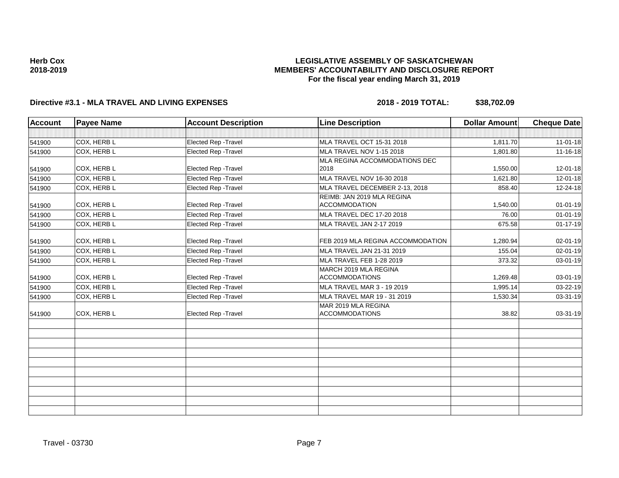### **LEGISLATIVE ASSEMBLY OF SASKATCHEWAN MEMBERS' ACCOUNTABILITY AND DISCLOSURE REPORT For the fiscal year ending March 31, 2019**

# **Directive #3.1 - MLA TRAVEL AND LIVING EXPENSES 2018 - 2019 TOTAL: \$38,702.09**

| <b>Account</b> | <b>Payee Name</b> | <b>Account Description</b>  | <b>Line Description</b>                            | <b>Dollar Amount</b> | <b>Cheque Date</b> |
|----------------|-------------------|-----------------------------|----------------------------------------------------|----------------------|--------------------|
|                |                   |                             |                                                    |                      |                    |
| 541900         | COX, HERB L       | Elected Rep - Travel        | MLA TRAVEL OCT 15-31 2018                          | 1,811.70             | $11 - 01 - 18$     |
| 541900         | COX, HERB L       | <b>Elected Rep - Travel</b> | MLA TRAVEL NOV 1-15 2018                           | 1,801.80             | 11-16-18           |
|                |                   |                             | MLA REGINA ACCOMMODATIONS DEC                      |                      |                    |
| 541900         | COX, HERB L       | Elected Rep - Travel        | 2018                                               | 1,550.00             | 12-01-18           |
| 541900         | COX. HERB L       | <b>Elected Rep - Travel</b> | MLA TRAVEL NOV 16-30 2018                          | 1.621.80             | 12-01-18           |
| 541900         | COX, HERB L       | Elected Rep - Travel        | MLA TRAVEL DECEMBER 2-13, 2018                     | 858.40               | 12-24-18           |
| 541900         | COX, HERB L       | Elected Rep - Travel        | REIMB: JAN 2019 MLA REGINA<br><b>ACCOMMODATION</b> | 1,540.00             | $01 - 01 - 19$     |
| 541900         | COX, HERB L       | Elected Rep - Travel        | MLA TRAVEL DEC 17-20 2018                          | 76.00                | $01 - 01 - 19$     |
| 541900         | COX, HERB L       | <b>Elected Rep - Travel</b> | MLA TRAVEL JAN 2-17 2019                           | 675.58               | $01 - 17 - 19$     |
| 541900         | COX, HERB L       | <b>Elected Rep - Travel</b> | FEB 2019 MLA REGINA ACCOMMODATION                  | 1,280.94             | 02-01-19           |
| 541900         | COX, HERB L       | Elected Rep - Travel        | MLA TRAVEL JAN 21-31 2019                          | 155.04               | 02-01-19           |
| 541900         | COX, HERB L       | <b>Elected Rep - Travel</b> | MLA TRAVEL FEB 1-28 2019                           | 373.32               | 03-01-19           |
| 541900         | COX, HERB L       | Elected Rep - Travel        | MARCH 2019 MLA REGINA<br><b>ACCOMMODATIONS</b>     | 1,269.48             | 03-01-19           |
| 541900         | COX, HERB L       | <b>Elected Rep - Travel</b> | MLA TRAVEL MAR 3 - 19 2019                         | 1.995.14             | 03-22-19           |
| 541900         | COX, HERB L       | Elected Rep - Travel        | MLA TRAVEL MAR 19 - 31 2019                        | 1,530.34             | 03-31-19           |
| 541900         | COX, HERB L       | Elected Rep - Travel        | MAR 2019 MLA REGINA<br><b>ACCOMMODATIONS</b>       | 38.82                | 03-31-19           |
|                |                   |                             |                                                    |                      |                    |
|                |                   |                             |                                                    |                      |                    |
|                |                   |                             |                                                    |                      |                    |
|                |                   |                             |                                                    |                      |                    |
|                |                   |                             |                                                    |                      |                    |
|                |                   |                             |                                                    |                      |                    |
|                |                   |                             |                                                    |                      |                    |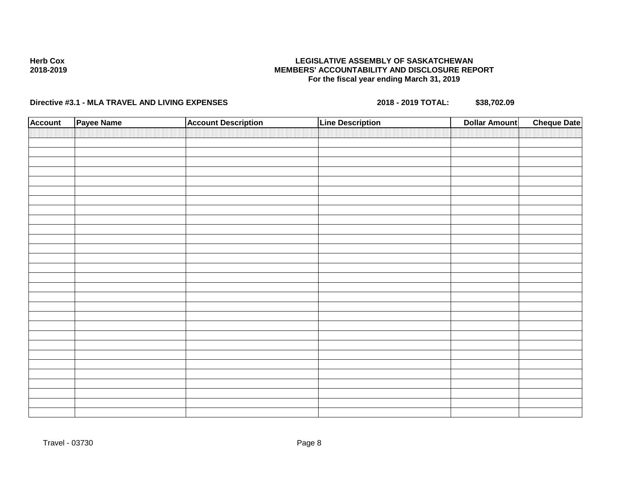# **Directive #3.1 - MLA TRAVEL AND LIVING EXPENSES 2018 - 2019 TOTAL: \$38,702.09**

| <b>Account</b> | Payee Name | <b>Account Description</b> | <b>Line Description</b> | <b>Dollar Amount</b> | <b>Cheque Date</b> |
|----------------|------------|----------------------------|-------------------------|----------------------|--------------------|
|                |            |                            |                         |                      |                    |
|                |            |                            |                         |                      |                    |
|                |            |                            |                         |                      |                    |
|                |            |                            |                         |                      |                    |
|                |            |                            |                         |                      |                    |
|                |            |                            |                         |                      |                    |
|                |            |                            |                         |                      |                    |
|                |            |                            |                         |                      |                    |
|                |            |                            |                         |                      |                    |
|                |            |                            |                         |                      |                    |
|                |            |                            |                         |                      |                    |
|                |            |                            |                         |                      |                    |
|                |            |                            |                         |                      |                    |
|                |            |                            |                         |                      |                    |
|                |            |                            |                         |                      |                    |
|                |            |                            |                         |                      |                    |
|                |            |                            |                         |                      |                    |
|                |            |                            |                         |                      |                    |
|                |            |                            |                         |                      |                    |
|                |            |                            |                         |                      |                    |
|                |            |                            |                         |                      |                    |
|                |            |                            |                         |                      |                    |
|                |            |                            |                         |                      |                    |
|                |            |                            |                         |                      |                    |
|                |            |                            |                         |                      |                    |
|                |            |                            |                         |                      |                    |
|                |            |                            |                         |                      |                    |
|                |            |                            |                         |                      |                    |
|                |            |                            |                         |                      |                    |
|                |            |                            |                         |                      |                    |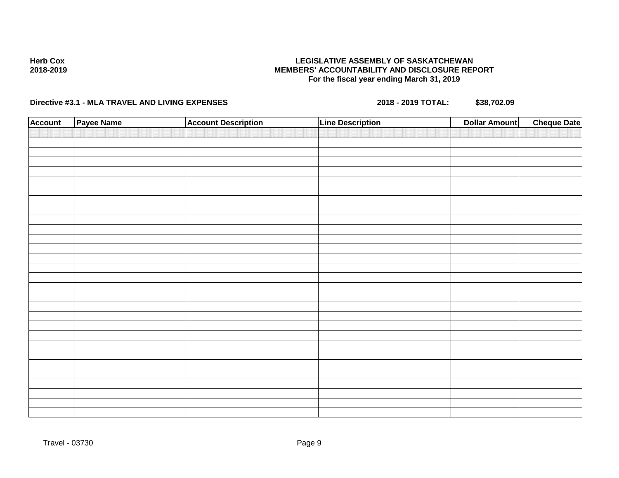# **Directive #3.1 - MLA TRAVEL AND LIVING EXPENSES 2018 - 2019 TOTAL: \$38,702.09**

| <b>Account</b> | Payee Name | <b>Account Description</b> | <b>Line Description</b> | <b>Dollar Amount</b> | <b>Cheque Date</b> |
|----------------|------------|----------------------------|-------------------------|----------------------|--------------------|
|                |            |                            |                         |                      |                    |
|                |            |                            |                         |                      |                    |
|                |            |                            |                         |                      |                    |
|                |            |                            |                         |                      |                    |
|                |            |                            |                         |                      |                    |
|                |            |                            |                         |                      |                    |
|                |            |                            |                         |                      |                    |
|                |            |                            |                         |                      |                    |
|                |            |                            |                         |                      |                    |
|                |            |                            |                         |                      |                    |
|                |            |                            |                         |                      |                    |
|                |            |                            |                         |                      |                    |
|                |            |                            |                         |                      |                    |
|                |            |                            |                         |                      |                    |
|                |            |                            |                         |                      |                    |
|                |            |                            |                         |                      |                    |
|                |            |                            |                         |                      |                    |
|                |            |                            |                         |                      |                    |
|                |            |                            |                         |                      |                    |
|                |            |                            |                         |                      |                    |
|                |            |                            |                         |                      |                    |
|                |            |                            |                         |                      |                    |
|                |            |                            |                         |                      |                    |
|                |            |                            |                         |                      |                    |
|                |            |                            |                         |                      |                    |
|                |            |                            |                         |                      |                    |
|                |            |                            |                         |                      |                    |
|                |            |                            |                         |                      |                    |
|                |            |                            |                         |                      |                    |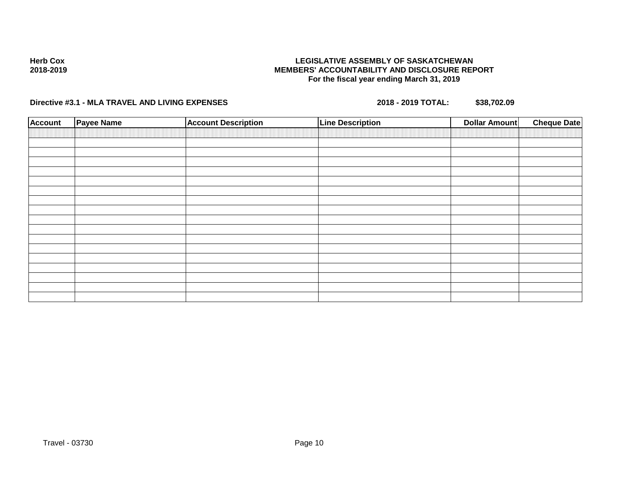# **Directive #3.1 - MLA TRAVEL AND LIVING EXPENSES 2018 - 2019 TOTAL: \$38,702.09**

| <b>Account</b> | <b>Payee Name</b> | <b>Account Description</b> | <b>Line Description</b> | <b>Dollar Amount</b> | <b>Cheque Date</b> |
|----------------|-------------------|----------------------------|-------------------------|----------------------|--------------------|
|                |                   |                            |                         |                      |                    |
|                |                   |                            |                         |                      |                    |
|                |                   |                            |                         |                      |                    |
|                |                   |                            |                         |                      |                    |
|                |                   |                            |                         |                      |                    |
|                |                   |                            |                         |                      |                    |
|                |                   |                            |                         |                      |                    |
|                |                   |                            |                         |                      |                    |
|                |                   |                            |                         |                      |                    |
|                |                   |                            |                         |                      |                    |
|                |                   |                            |                         |                      |                    |
|                |                   |                            |                         |                      |                    |
|                |                   |                            |                         |                      |                    |
|                |                   |                            |                         |                      |                    |
|                |                   |                            |                         |                      |                    |
|                |                   |                            |                         |                      |                    |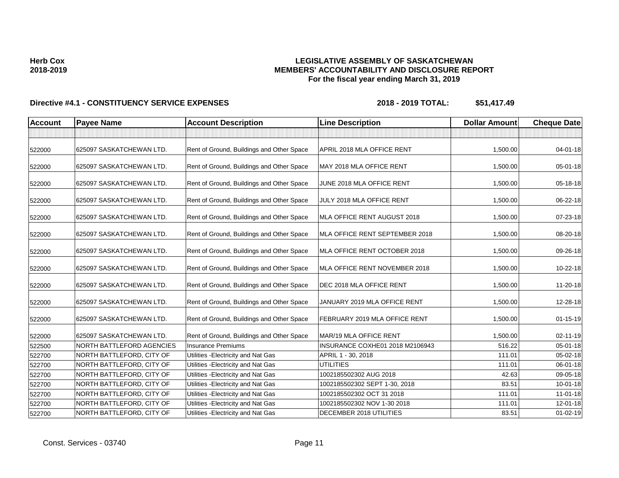## Directive #4.1 - CONSTITUENCY SERVICE EXPENSES 2018 - 2018 - 2019 TOTAL: \$51,417.49

| <b>Account</b> | <b>Payee Name</b>         | <b>Account Description</b>                | <b>Line Description</b>         | <b>Dollar Amount</b> | <b>Cheque Date</b> |
|----------------|---------------------------|-------------------------------------------|---------------------------------|----------------------|--------------------|
|                |                           |                                           |                                 |                      |                    |
| 522000         | 625097 SASKATCHEWAN LTD.  | Rent of Ground, Buildings and Other Space | APRIL 2018 MLA OFFICE RENT      | 1,500.00             | $04 - 01 - 18$     |
| 522000         | 625097 SASKATCHEWAN LTD.  | Rent of Ground, Buildings and Other Space | MAY 2018 MLA OFFICE RENT        | 1,500.00             | 05-01-18           |
| 522000         | 625097 SASKATCHEWAN LTD.  | Rent of Ground, Buildings and Other Space | JUNE 2018 MLA OFFICE RENT       | 1,500.00             | 05-18-18           |
| 522000         | 625097 SASKATCHEWAN LTD.  | Rent of Ground, Buildings and Other Space | JULY 2018 MLA OFFICE RENT       | 1,500.00             | 06-22-18           |
| 522000         | 625097 SASKATCHEWAN LTD.  | Rent of Ground, Buildings and Other Space | MLA OFFICE RENT AUGUST 2018     | 1,500.00             | 07-23-18           |
| 522000         | 625097 SASKATCHEWAN LTD.  | Rent of Ground, Buildings and Other Space | MLA OFFICE RENT SEPTEMBER 2018  | 1,500.00             | 08-20-18           |
| 522000         | 625097 SASKATCHEWAN LTD.  | Rent of Ground, Buildings and Other Space | MLA OFFICE RENT OCTOBER 2018    | 1,500.00             | 09-26-18           |
| 522000         | 625097 SASKATCHEWAN LTD.  | Rent of Ground, Buildings and Other Space | MLA OFFICE RENT NOVEMBER 2018   | 1,500.00             | 10-22-18           |
| 522000         | 625097 SASKATCHEWAN LTD.  | Rent of Ground, Buildings and Other Space | DEC 2018 MLA OFFICE RENT        | 1,500.00             | 11-20-18           |
| 522000         | 625097 SASKATCHEWAN LTD.  | Rent of Ground, Buildings and Other Space | JANUARY 2019 MLA OFFICE RENT    | 1,500.00             | 12-28-18           |
| 522000         | 625097 SASKATCHEWAN LTD.  | Rent of Ground, Buildings and Other Space | FEBRUARY 2019 MLA OFFICE RENT   | 1,500.00             | $01 - 15 - 19$     |
| 522000         | 625097 SASKATCHEWAN LTD.  | Rent of Ground, Buildings and Other Space | MAR/19 MLA OFFICE RENT          | 1,500.00             | $02 - 11 - 19$     |
| 522500         | NORTH BATTLEFORD AGENCIES | Insurance Premiums                        | INSURANCE COXHE01 2018 M2106943 | 516.22               | $05 - 01 - 18$     |
| 522700         | NORTH BATTLEFORD, CITY OF | Utilities - Electricity and Nat Gas       | APRIL 1 - 30, 2018              | 111.01               | 05-02-18           |
| 522700         | NORTH BATTLEFORD, CITY OF | Utilities - Electricity and Nat Gas       | UTILITIES                       | 111.01               | 06-01-18           |
| 522700         | NORTH BATTLEFORD, CITY OF | Utilities - Electricity and Nat Gas       | 1002185502302 AUG 2018          | 42.63                | 09-05-18           |
| 522700         | NORTH BATTLEFORD, CITY OF | Utilities - Electricity and Nat Gas       | 1002185502302 SEPT 1-30, 2018   | 83.51                | $10 - 01 - 18$     |
| 522700         | NORTH BATTLEFORD, CITY OF | Utilities - Electricity and Nat Gas       | 1002185502302 OCT 31 2018       | 111.01               | $11 - 01 - 18$     |
| 522700         | NORTH BATTLEFORD, CITY OF | Utilities - Electricity and Nat Gas       | 1002185502302 NOV 1-30 2018     | 111.01               | 12-01-18           |
| 522700         | NORTH BATTLEFORD, CITY OF | Utilities - Electricity and Nat Gas       | DECEMBER 2018 UTILITIES         | 83.51                | $01 - 02 - 19$     |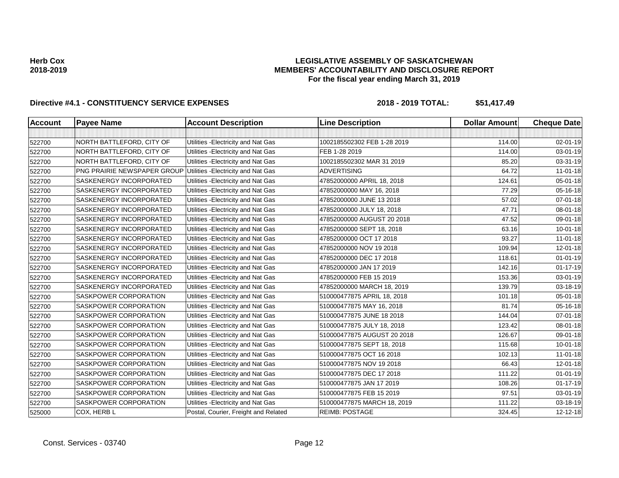### **LEGISLATIVE ASSEMBLY OF SASKATCHEWAN MEMBERS' ACCOUNTABILITY AND DISCLOSURE REPORT For the fiscal year ending March 31, 2019**

# Directive #4.1 - CONSTITUENCY SERVICE EXPENSES 2018 - 2018 - 2019 TOTAL: \$51,417.49

| <b>Account</b> | <b>Payee Name</b>           | <b>Account Description</b>           | <b>Line Description</b>     | <b>Dollar Amount</b> | <b>Cheque Date</b> |
|----------------|-----------------------------|--------------------------------------|-----------------------------|----------------------|--------------------|
|                |                             |                                      |                             |                      |                    |
| 522700         | NORTH BATTLEFORD, CITY OF   | Utilities - Electricity and Nat Gas  | 1002185502302 FEB 1-28 2019 | 114.00               | $02 - 01 - 19$     |
| 522700         | NORTH BATTLEFORD, CITY OF   | Utilities - Electricity and Nat Gas  | FEB 1-28 2019               | 114.00               | 03-01-19           |
| 522700         | NORTH BATTLEFORD, CITY OF   | Utilities - Electricity and Nat Gas  | 1002185502302 MAR 31 2019   | 85.20                | 03-31-19           |
| 522700         | PNG PRAIRIE NEWSPAPER GROUP | Utilities - Electricity and Nat Gas  | <b>ADVERTISING</b>          | 64.72                | $11-01-18$         |
| 522700         | SASKENERGY INCORPORATED     | Utilities - Electricity and Nat Gas  | 47852000000 APRIL 18, 2018  | 124.61               | $05 - 01 - 18$     |
| 522700         | SASKENERGY INCORPORATED     | Utilities - Electricity and Nat Gas  | 47852000000 MAY 16, 2018    | 77.29                | 05-16-18           |
| 522700         | SASKENERGY INCORPORATED     | Utilities - Electricity and Nat Gas  | 47852000000 JUNE 13 2018    | 57.02                | $07 - 01 - 18$     |
| 522700         | SASKENERGY INCORPORATED     | Utilities - Electricity and Nat Gas  | 47852000000 JULY 18, 2018   | 47.71                | 08-01-18           |
| 522700         | SASKENERGY INCORPORATED     | Utilities - Electricity and Nat Gas  | 47852000000 AUGUST 20 2018  | 47.52                | 09-01-18           |
| 522700         | SASKENERGY INCORPORATED     | Utilities - Electricity and Nat Gas  | 47852000000 SEPT 18, 2018   | 63.16                | $10 - 01 - 18$     |
| 522700         | SASKENERGY INCORPORATED     | Utilities - Electricity and Nat Gas  | 47852000000 OCT 17 2018     | 93.27                | $11-01-18$         |
| 522700         | SASKENERGY INCORPORATED     | Utilities - Electricity and Nat Gas  | 47852000000 NOV 19 2018     | 109.94               | 12-01-18           |
| 522700         | SASKENERGY INCORPORATED     | Utilities - Electricity and Nat Gas  | 47852000000 DEC 17 2018     | 118.61               | $01 - 01 - 19$     |
| 522700         | SASKENERGY INCORPORATED     | Utilities - Electricity and Nat Gas  | 47852000000 JAN 17 2019     | 142.16               | $01 - 17 - 19$     |
| 522700         | SASKENERGY INCORPORATED     | Utilities - Electricity and Nat Gas  | 47852000000 FEB 15 2019     | 153.36               | 03-01-19           |
| 522700         | SASKENERGY INCORPORATED     | Utilities - Electricity and Nat Gas  | 47852000000 MARCH 18, 2019  | 139.79               | 03-18-19           |
| 522700         | SASKPOWER CORPORATION       | Utilities - Electricity and Nat Gas  | 510000477875 APRIL 18, 2018 | 101.18               | 05-01-18           |
| 522700         | SASKPOWER CORPORATION       | Utilities - Electricity and Nat Gas  | 510000477875 MAY 16, 2018   | 81.74                | 05-16-18           |
| 522700         | SASKPOWER CORPORATION       | Utilities - Electricity and Nat Gas  | 510000477875 JUNE 18 2018   | 144.04               | $07 - 01 - 18$     |
| 522700         | SASKPOWER CORPORATION       | Utilities - Electricity and Nat Gas  | 510000477875 JULY 18, 2018  | 123.42               | 08-01-18           |
| 522700         | SASKPOWER CORPORATION       | Utilities - Electricity and Nat Gas  | 510000477875 AUGUST 20 2018 | 126.67               | 09-01-18           |
| 522700         | SASKPOWER CORPORATION       | Utilities - Electricity and Nat Gas  | 510000477875 SEPT 18, 2018  | 115.68               | $10 - 01 - 18$     |
| 522700         | SASKPOWER CORPORATION       | Utilities - Electricity and Nat Gas  | 510000477875 OCT 16 2018    | 102.13               | $11 - 01 - 18$     |
| 522700         | SASKPOWER CORPORATION       | Utilities - Electricity and Nat Gas  | 510000477875 NOV 19 2018    | 66.43                | 12-01-18           |
| 522700         | SASKPOWER CORPORATION       | Utilities - Electricity and Nat Gas  | 510000477875 DEC 17 2018    | 111.22               | $01 - 01 - 19$     |
| 522700         | SASKPOWER CORPORATION       | Utilities - Electricity and Nat Gas  | 510000477875 JAN 17 2019    | 108.26               | $01 - 17 - 19$     |
| 522700         | SASKPOWER CORPORATION       | Utilities - Electricity and Nat Gas  | 510000477875 FEB 15 2019    | 97.51                | 03-01-19           |
| 522700         | SASKPOWER CORPORATION       | Utilities - Electricity and Nat Gas  | 510000477875 MARCH 18, 2019 | 111.22               | 03-18-19           |
| 525000         | COX, HERB L                 | Postal, Courier, Freight and Related | <b>REIMB: POSTAGE</b>       | 324.45               | 12-12-18           |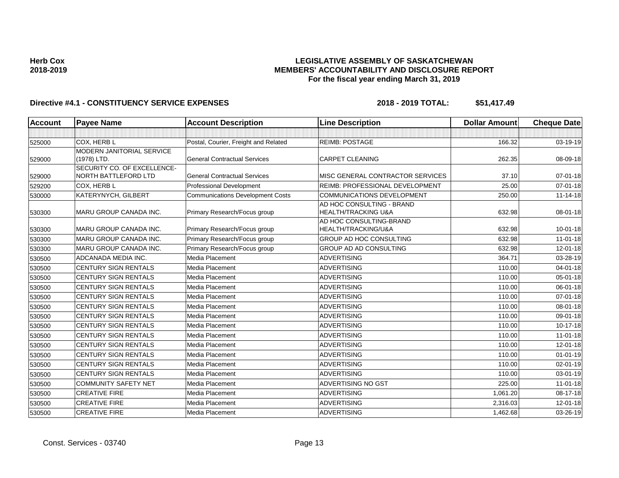## Directive #4.1 - CONSTITUENCY SERVICE EXPENSES 2018 - 2018 - 2019 TOTAL: \$51,417.49

| Account | <b>Payee Name</b>             | <b>Account Description</b>              | <b>Line Description</b>           | <b>Dollar Amount</b> | <b>Cheque Date</b> |
|---------|-------------------------------|-----------------------------------------|-----------------------------------|----------------------|--------------------|
|         |                               |                                         |                                   |                      |                    |
| 525000  | COX, HERB L                   | Postal, Courier, Freight and Related    | <b>REIMB: POSTAGE</b>             | 166.32               | 03-19-19           |
|         | MODERN JANITORIAL SERVICE     |                                         |                                   |                      |                    |
| 529000  | (1978) LTD.                   | <b>General Contractual Services</b>     | <b>CARPET CLEANING</b>            | 262.35               | 08-09-18           |
|         | SECURITY CO. OF EXCELLENCE-   |                                         |                                   |                      |                    |
| 529000  | <b>NORTH BATTLEFORD LTD</b>   | <b>General Contractual Services</b>     | MISC GENERAL CONTRACTOR SERVICES  | 37.10                | $07 - 01 - 18$     |
| 529200  | COX, HERB L                   | <b>Professional Development</b>         | REIMB: PROFESSIONAL DEVELOPMENT   | 25.00                | $07 - 01 - 18$     |
| 530000  | KATERYNYCH, GILBERT           | <b>Communications Development Costs</b> | <b>COMMUNICATIONS DEVELOPMENT</b> | 250.00               | $11 - 14 - 18$     |
|         |                               |                                         | AD HOC CONSULTING - BRAND         |                      |                    |
| 530300  | <b>MARU GROUP CANADA INC.</b> | Primary Research/Focus group            | <b>HEALTH/TRACKING U&amp;A</b>    | 632.98               | 08-01-18           |
|         | <b>MARU GROUP CANADA INC.</b> |                                         | AD HOC CONSULTING-BRAND           | 632.98               |                    |
| 530300  |                               | Primary Research/Focus group            | HEALTH/TRACKING/U&A               |                      | $10 - 01 - 18$     |
| 530300  | <b>MARU GROUP CANADA INC.</b> | Primary Research/Focus group            | <b>GROUP AD HOC CONSULTING</b>    | 632.98               | $11-01-18$         |
| 530300  | MARU GROUP CANADA INC.        | Primary Research/Focus group            | GROUP AD AD CONSULTING            | 632.98               | $12 - 01 - 18$     |
| 530500  | ADCANADA MEDIA INC.           | Media Placement                         | <b>ADVERTISING</b>                | 364.71               | 03-28-19           |
| 530500  | CENTURY SIGN RENTALS          | Media Placement                         | <b>ADVERTISING</b>                | 110.00               | $04 - 01 - 18$     |
| 530500  | CENTURY SIGN RENTALS          | <b>Media Placement</b>                  | <b>ADVERTISING</b>                | 110.00               | $05 - 01 - 18$     |
| 530500  | CENTURY SIGN RENTALS          | Media Placement                         | <b>ADVERTISING</b>                | 110.00               | 06-01-18           |
| 530500  | <b>CENTURY SIGN RENTALS</b>   | Media Placement                         | ADVERTISING                       | 110.00               | $07 - 01 - 18$     |
| 530500  | CENTURY SIGN RENTALS          | <b>Media Placement</b>                  | <b>ADVERTISING</b>                | 110.00               | 08-01-18           |
| 530500  | CENTURY SIGN RENTALS          | Media Placement                         | <b>ADVERTISING</b>                | 110.00               | 09-01-18           |
| 530500  | <b>CENTURY SIGN RENTALS</b>   | <b>Media Placement</b>                  | ADVERTISING                       | 110.00               | 10-17-18           |
| 530500  | CENTURY SIGN RENTALS          | <b>Media Placement</b>                  | <b>ADVERTISING</b>                | 110.00               | $11-01-18$         |
| 530500  | CENTURY SIGN RENTALS          | Media Placement                         | <b>ADVERTISING</b>                | 110.00               | $12 - 01 - 18$     |
| 530500  | CENTURY SIGN RENTALS          | <b>Media Placement</b>                  | <b>ADVERTISING</b>                | 110.00               | $01 - 01 - 19$     |
| 530500  | CENTURY SIGN RENTALS          | Media Placement                         | <b>ADVERTISING</b>                | 110.00               | $02 - 01 - 19$     |
| 530500  | <b>CENTURY SIGN RENTALS</b>   | Media Placement                         | <b>ADVERTISING</b>                | 110.00               | $03 - 01 - 19$     |
| 530500  | <b>COMMUNITY SAFETY NET</b>   | <b>Media Placement</b>                  | ADVERTISING NO GST                | 225.00               | $11-01-18$         |
| 530500  | <b>CREATIVE FIRE</b>          | Media Placement                         | <b>ADVERTISING</b>                | 1,061.20             | 08-17-18           |
| 530500  | <b>CREATIVE FIRE</b>          | <b>Media Placement</b>                  | <b>ADVERTISING</b>                | 2,316.03             | $12 - 01 - 18$     |
| 530500  | <b>CREATIVE FIRE</b>          | Media Placement                         | <b>ADVERTISING</b>                | 1,462.68             | 03-26-19           |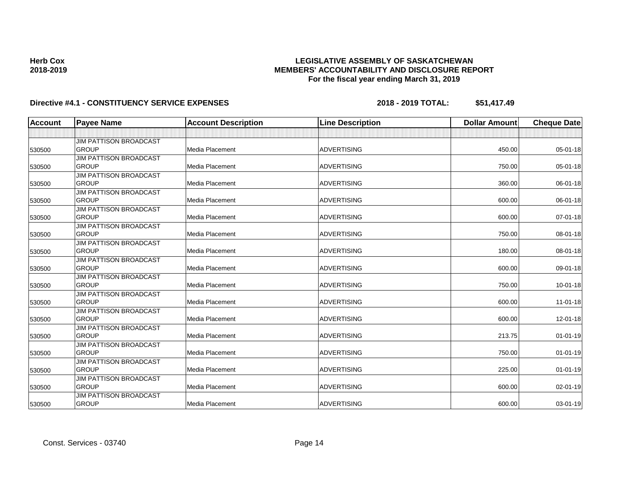## Directive #4.1 - CONSTITUENCY SERVICE EXPENSES 2018 - 2018 - 2019 TOTAL: \$51,417.49

**Herb Cox 2018-2019**

| <b>Account</b> | <b>Payee Name</b>             | <b>Account Description</b> | <b>Line Description</b> | <b>Dollar Amount</b> | <b>Cheque Date</b> |
|----------------|-------------------------------|----------------------------|-------------------------|----------------------|--------------------|
|                |                               |                            |                         |                      |                    |
|                | <b>JIM PATTISON BROADCAST</b> |                            |                         |                      |                    |
| 530500         | <b>GROUP</b>                  | <b>Media Placement</b>     | <b>ADVERTISING</b>      | 450.00               | $05 - 01 - 18$     |
|                | <b>JIM PATTISON BROADCAST</b> |                            |                         |                      |                    |
| 530500         | <b>GROUP</b>                  | Media Placement            | <b>ADVERTISING</b>      | 750.00               | 05-01-18           |
|                | <b>JIM PATTISON BROADCAST</b> |                            |                         |                      |                    |
| 530500         | <b>GROUP</b>                  | <b>Media Placement</b>     | <b>ADVERTISING</b>      | 360.00               | 06-01-18           |
|                | <b>JIM PATTISON BROADCAST</b> |                            |                         |                      |                    |
| 530500         | <b>GROUP</b>                  | Media Placement            | <b>ADVERTISING</b>      | 600.00               | 06-01-18           |
|                | <b>JIM PATTISON BROADCAST</b> |                            |                         |                      |                    |
| 530500         | <b>GROUP</b>                  | Media Placement            | <b>ADVERTISING</b>      | 600.00               | 07-01-18           |
|                | <b>JIM PATTISON BROADCAST</b> |                            |                         |                      |                    |
| 530500         | <b>GROUP</b>                  | Media Placement            | <b>ADVERTISING</b>      | 750.00               | 08-01-18           |
|                | <b>JIM PATTISON BROADCAST</b> |                            |                         |                      |                    |
| 530500         | <b>GROUP</b>                  | <b>Media Placement</b>     | <b>ADVERTISING</b>      | 180.00               | 08-01-18           |
|                | <b>JIM PATTISON BROADCAST</b> |                            |                         |                      |                    |
| 530500         | <b>GROUP</b>                  | <b>Media Placement</b>     | <b>ADVERTISING</b>      | 600.00               | 09-01-18           |
|                | <b>JIM PATTISON BROADCAST</b> |                            |                         |                      |                    |
| 530500         | <b>GROUP</b>                  | <b>Media Placement</b>     | <b>ADVERTISING</b>      | 750.00               | $10 - 01 - 18$     |
|                | <b>JIM PATTISON BROADCAST</b> |                            |                         |                      |                    |
| 530500         | <b>GROUP</b>                  | <b>Media Placement</b>     | <b>ADVERTISING</b>      | 600.00               | $11 - 01 - 18$     |
|                | <b>JIM PATTISON BROADCAST</b> |                            |                         |                      |                    |
| 530500         | <b>GROUP</b>                  | Media Placement            | <b>ADVERTISING</b>      | 600.00               | $12 - 01 - 18$     |
|                | <b>JIM PATTISON BROADCAST</b> |                            |                         |                      |                    |
| 530500         | <b>GROUP</b>                  | <b>Media Placement</b>     | <b>ADVERTISING</b>      | 213.75               | 01-01-19           |
|                | <b>JIM PATTISON BROADCAST</b> |                            |                         |                      |                    |
| 530500         | <b>GROUP</b>                  | Media Placement            | <b>ADVERTISING</b>      | 750.00               | $01 - 01 - 19$     |
|                | <b>JIM PATTISON BROADCAST</b> |                            |                         |                      |                    |
| 530500         | <b>GROUP</b>                  | Media Placement            | <b>ADVERTISING</b>      | 225.00               | $01 - 01 - 19$     |
|                | <b>JIM PATTISON BROADCAST</b> |                            |                         |                      |                    |
| 530500         | <b>GROUP</b>                  | Media Placement            | <b>ADVERTISING</b>      | 600.00               | 02-01-19           |
|                | <b>JIM PATTISON BROADCAST</b> |                            |                         |                      |                    |
| 530500         | <b>GROUP</b>                  | <b>Media Placement</b>     | <b>ADVERTISING</b>      | 600.00               | 03-01-19           |

Const. Services - 03740 Page 14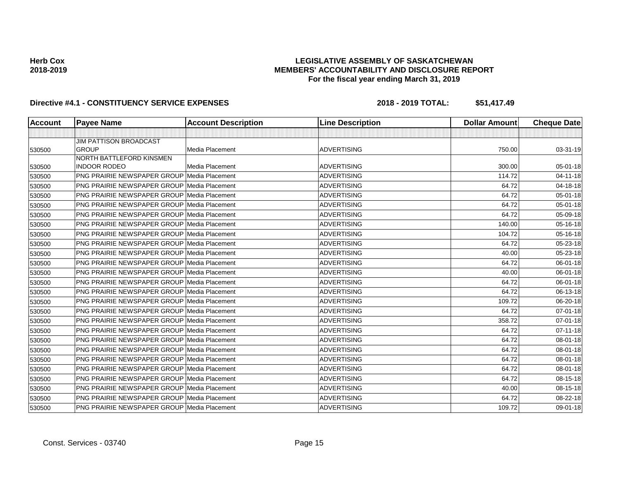## Directive #4.1 - CONSTITUENCY SERVICE EXPENSES 2018 - 2018 - 2019 TOTAL: \$51,417.49

| <b>Account</b> | <b>Payee Name</b>                                  | <b>Account Description</b> | <b>Line Description</b> | <b>Dollar Amount</b> | <b>Cheque Date</b> |
|----------------|----------------------------------------------------|----------------------------|-------------------------|----------------------|--------------------|
|                |                                                    |                            |                         |                      |                    |
|                | <b>JIM PATTISON BROADCAST</b>                      |                            |                         |                      |                    |
| 530500         | <b>GROUP</b>                                       | Media Placement            | <b>ADVERTISING</b>      | 750.00               | 03-31-19           |
|                | <b>NORTH BATTLEFORD KINSMEN</b>                    |                            |                         |                      |                    |
| 530500         | <b>INDOOR RODEO</b>                                | Media Placement            | <b>ADVERTISING</b>      | 300.00               | 05-01-18           |
| 530500         | <b>PNG PRAIRIE NEWSPAPER GROUP Media Placement</b> |                            | <b>ADVERTISING</b>      | 114.72               | $04 - 11 - 18$     |
| 530500         | <b>PNG PRAIRIE NEWSPAPER GROUP Media Placement</b> |                            | <b>ADVERTISING</b>      | 64.72                | 04-18-18           |
| 530500         | <b>PNG PRAIRIE NEWSPAPER GROUP Media Placement</b> |                            | <b>ADVERTISING</b>      | 64.72                | $05 - 01 - 18$     |
| 530500         | <b>PNG PRAIRIE NEWSPAPER GROUP Media Placement</b> |                            | <b>ADVERTISING</b>      | 64.72                | 05-01-18           |
| 530500         | <b>PNG PRAIRIE NEWSPAPER GROUP Media Placement</b> |                            | <b>ADVERTISING</b>      | 64.72                | 05-09-18           |
| 530500         | <b>PNG PRAIRIE NEWSPAPER GROUP Media Placement</b> |                            | <b>ADVERTISING</b>      | 140.00               | 05-16-18           |
| 530500         | <b>PNG PRAIRIE NEWSPAPER GROUP Media Placement</b> |                            | <b>ADVERTISING</b>      | 104.72               | 05-16-18           |
| 530500         | <b>PNG PRAIRIE NEWSPAPER GROUP Media Placement</b> |                            | <b>ADVERTISING</b>      | 64.72                | 05-23-18           |
| 530500         | <b>PNG PRAIRIE NEWSPAPER GROUP Media Placement</b> |                            | <b>ADVERTISING</b>      | 40.00                | 05-23-18           |
| 530500         | <b>PNG PRAIRIE NEWSPAPER GROUP Media Placement</b> |                            | <b>ADVERTISING</b>      | 64.72                | $06 - 01 - 18$     |
| 530500         | <b>PNG PRAIRIE NEWSPAPER GROUP Media Placement</b> |                            | ADVERTISING             | 40.00                | 06-01-18           |
| 530500         | <b>PNG PRAIRIE NEWSPAPER GROUP Media Placement</b> |                            | <b>ADVERTISING</b>      | 64.72                | 06-01-18           |
| 530500         | <b>PNG PRAIRIE NEWSPAPER GROUP Media Placement</b> |                            | <b>ADVERTISING</b>      | 64.72                | 06-13-18           |
| 530500         | <b>PNG PRAIRIE NEWSPAPER GROUP Media Placement</b> |                            | <b>ADVERTISING</b>      | 109.72               | 06-20-18           |
| 530500         | <b>PNG PRAIRIE NEWSPAPER GROUP Media Placement</b> |                            | <b>ADVERTISING</b>      | 64.72                | $07 - 01 - 18$     |
| 530500         | <b>PNG PRAIRIE NEWSPAPER GROUP Media Placement</b> |                            | <b>ADVERTISING</b>      | 358.72               | $07 - 01 - 18$     |
| 530500         | <b>PNG PRAIRIE NEWSPAPER GROUP Media Placement</b> |                            | <b>ADVERTISING</b>      | 64.72                | $07 - 11 - 18$     |
| 530500         | <b>PNG PRAIRIE NEWSPAPER GROUP Media Placement</b> |                            | <b>ADVERTISING</b>      | 64.72                | 08-01-18           |
| 530500         | <b>PNG PRAIRIE NEWSPAPER GROUP Media Placement</b> |                            | <b>ADVERTISING</b>      | 64.72                | 08-01-18           |
| 530500         | <b>PNG PRAIRIE NEWSPAPER GROUP Media Placement</b> |                            | <b>ADVERTISING</b>      | 64.72                | 08-01-18           |
| 530500         | <b>PNG PRAIRIE NEWSPAPER GROUP Media Placement</b> |                            | <b>ADVERTISING</b>      | 64.72                | 08-01-18           |
| 530500         | <b>PNG PRAIRIE NEWSPAPER GROUP Media Placement</b> |                            | <b>ADVERTISING</b>      | 64.72                | 08-15-18           |
| 530500         | PNG PRAIRIE NEWSPAPER GROUP Media Placement        |                            | ADVERTISING             | 40.00                | 08-15-18           |
| 530500         | <b>PNG PRAIRIE NEWSPAPER GROUP Media Placement</b> |                            | <b>ADVERTISING</b>      | 64.72                | 08-22-18           |
| 530500         | <b>PNG PRAIRIE NEWSPAPER GROUP Media Placement</b> |                            | <b>ADVERTISING</b>      | 109.72               | $09 - 01 - 18$     |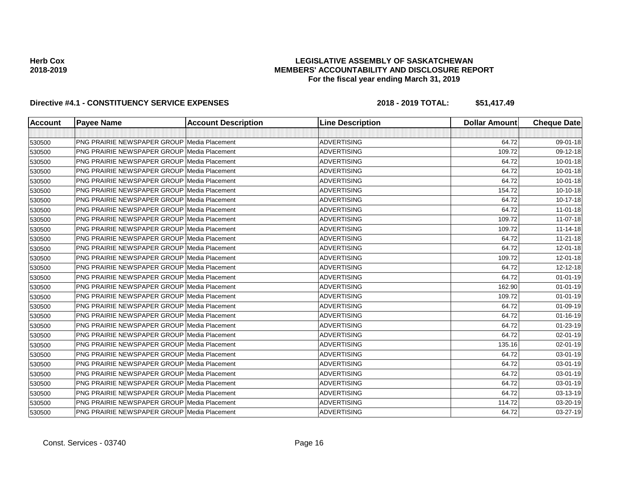## Directive #4.1 - CONSTITUENCY SERVICE EXPENSES 2018 - 2018 - 2019 TOTAL: \$51,417.49

| <b>Account</b> | <b>Payee Name</b>                                  | <b>Account Description</b> | <b>Line Description</b> | <b>Dollar Amount</b> | <b>Cheque Date</b> |
|----------------|----------------------------------------------------|----------------------------|-------------------------|----------------------|--------------------|
|                |                                                    |                            |                         |                      |                    |
| 530500         | <b>PNG PRAIRIE NEWSPAPER GROUP Media Placement</b> |                            | <b>ADVERTISING</b>      | 64.72                | 09-01-18           |
| 530500         | <b>PNG PRAIRIE NEWSPAPER GROUP Media Placement</b> |                            | <b>ADVERTISING</b>      | 109.72               | 09-12-18           |
| 530500         | <b>PNG PRAIRIE NEWSPAPER GROUP Media Placement</b> |                            | <b>ADVERTISING</b>      | 64.72                | $10 - 01 - 18$     |
| 530500         | <b>PNG PRAIRIE NEWSPAPER GROUP Media Placement</b> |                            | <b>ADVERTISING</b>      | 64.72                | $10 - 01 - 18$     |
| 530500         | <b>PNG PRAIRIE NEWSPAPER GROUP Media Placement</b> |                            | <b>ADVERTISING</b>      | 64.72                | $10 - 01 - 18$     |
| 530500         | <b>PNG PRAIRIE NEWSPAPER GROUP Media Placement</b> |                            | <b>ADVERTISING</b>      | 154.72               | $10 - 10 - 18$     |
| 530500         | <b>PNG PRAIRIE NEWSPAPER GROUP Media Placement</b> |                            | <b>ADVERTISING</b>      | 64.72                | 10-17-18           |
| 530500         | <b>PNG PRAIRIE NEWSPAPER GROUP Media Placement</b> |                            | <b>ADVERTISING</b>      | 64.72                | $11 - 01 - 18$     |
| 530500         | <b>PNG PRAIRIE NEWSPAPER GROUP Media Placement</b> |                            | <b>ADVERTISING</b>      | 109.72               | 11-07-18           |
| 530500         | <b>PNG PRAIRIE NEWSPAPER GROUP Media Placement</b> |                            | <b>ADVERTISING</b>      | 109.72               | 11-14-18           |
| 530500         | <b>PNG PRAIRIE NEWSPAPER GROUP Media Placement</b> |                            | <b>ADVERTISING</b>      | 64.72                | $11 - 21 - 18$     |
| 530500         | <b>PNG PRAIRIE NEWSPAPER GROUP Media Placement</b> |                            | <b>ADVERTISING</b>      | 64.72                | 12-01-18           |
| 530500         | <b>PNG PRAIRIE NEWSPAPER GROUP Media Placement</b> |                            | <b>ADVERTISING</b>      | 109.72               | 12-01-18           |
| 530500         | <b>PNG PRAIRIE NEWSPAPER GROUP Media Placement</b> |                            | <b>ADVERTISING</b>      | 64.72                | 12-12-18           |
| 530500         | <b>PNG PRAIRIE NEWSPAPER GROUP Media Placement</b> |                            | <b>ADVERTISING</b>      | 64.72                | $01 - 01 - 19$     |
| 530500         | <b>PNG PRAIRIE NEWSPAPER GROUP Media Placement</b> |                            | <b>ADVERTISING</b>      | 162.90               | $01 - 01 - 19$     |
| 530500         | <b>PNG PRAIRIE NEWSPAPER GROUP Media Placement</b> |                            | <b>ADVERTISING</b>      | 109.72               | $01 - 01 - 19$     |
| 530500         | <b>PNG PRAIRIE NEWSPAPER GROUP Media Placement</b> |                            | <b>ADVERTISING</b>      | 64.72                | $01 - 09 - 19$     |
| 530500         | <b>PNG PRAIRIE NEWSPAPER GROUP Media Placement</b> |                            | <b>ADVERTISING</b>      | 64.72                | 01-16-19           |
| 530500         | <b>PNG PRAIRIE NEWSPAPER GROUP Media Placement</b> |                            | <b>ADVERTISING</b>      | 64.72                | 01-23-19           |
| 530500         | <b>PNG PRAIRIE NEWSPAPER GROUP Media Placement</b> |                            | <b>ADVERTISING</b>      | 64.72                | 02-01-19           |
| 530500         | <b>PNG PRAIRIE NEWSPAPER GROUP Media Placement</b> |                            | <b>ADVERTISING</b>      | 135.16               | $02 - 01 - 19$     |
| 530500         | <b>PNG PRAIRIE NEWSPAPER GROUP Media Placement</b> |                            | <b>ADVERTISING</b>      | 64.72                | 03-01-19           |
| 530500         | <b>PNG PRAIRIE NEWSPAPER GROUP Media Placement</b> |                            | <b>ADVERTISING</b>      | 64.72                | 03-01-19           |
| 530500         | <b>PNG PRAIRIE NEWSPAPER GROUP Media Placement</b> |                            | <b>ADVERTISING</b>      | 64.72                | 03-01-19           |
| 530500         | <b>PNG PRAIRIE NEWSPAPER GROUP Media Placement</b> |                            | <b>ADVERTISING</b>      | 64.72                | 03-01-19           |
| 530500         | <b>PNG PRAIRIE NEWSPAPER GROUP Media Placement</b> |                            | <b>ADVERTISING</b>      | 64.72                | 03-13-19           |
| 530500         | PNG PRAIRIE NEWSPAPER GROUP Media Placement        |                            | <b>ADVERTISING</b>      | 114.72               | 03-20-19           |
| 530500         | <b>PNG PRAIRIE NEWSPAPER GROUP Media Placement</b> |                            | <b>ADVERTISING</b>      | 64.72                | 03-27-19           |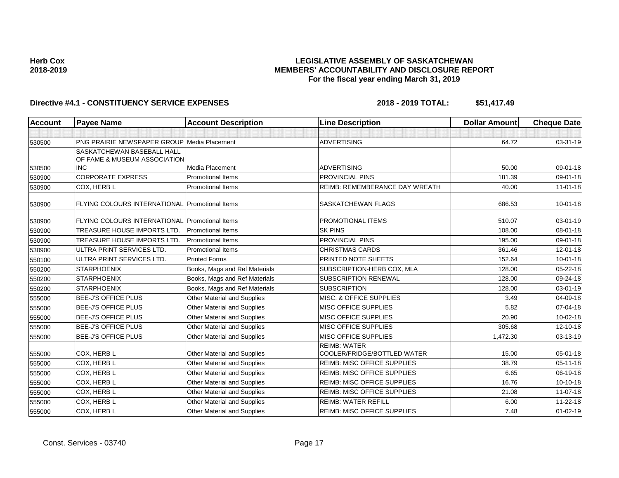## Directive #4.1 - CONSTITUENCY SERVICE EXPENSES 2018 - 2018 - 2019 TOTAL: \$51,417.49

| <b>Account</b> | <b>Payee Name</b>                                     | <b>Account Description</b>         | <b>Line Description</b>                            | <b>Dollar Amount</b> | <b>Cheque Date</b> |
|----------------|-------------------------------------------------------|------------------------------------|----------------------------------------------------|----------------------|--------------------|
|                |                                                       |                                    |                                                    |                      |                    |
| 530500         | <b>PNG PRAIRIE NEWSPAPER GROUP Media Placement</b>    |                                    | <b>ADVERTISING</b>                                 | 64.72                | 03-31-19           |
|                | <b>SASKATCHEWAN BASEBALL HALL</b>                     |                                    |                                                    |                      |                    |
|                | OF FAME & MUSEUM ASSOCIATION                          |                                    |                                                    |                      |                    |
| 530500         | <b>INC</b>                                            | Media Placement                    | <b>ADVERTISING</b>                                 | 50.00                | 09-01-18           |
| 530900         | <b>CORPORATE EXPRESS</b>                              | <b>Promotional Items</b>           | <b>PROVINCIAL PINS</b>                             | 181.39               | 09-01-18           |
| 530900         | COX, HERB L                                           | <b>Promotional Items</b>           | <b>REIMB: REMEMBERANCE DAY WREATH</b>              | 40.00                | $11 - 01 - 18$     |
| 530900         | FLYING COLOURS INTERNATIONAL Promotional Items        |                                    | SASKATCHEWAN FLAGS                                 | 686.53               | $10 - 01 - 18$     |
| 530900         | <b>FLYING COLOURS INTERNATIONAL Promotional Items</b> |                                    | <b>PROMOTIONAL ITEMS</b>                           | 510.07               | 03-01-19           |
| 530900         | TREASURE HOUSE IMPORTS LTD.                           | <b>Promotional Items</b>           | <b>SK PINS</b>                                     | 108.00               | 08-01-18           |
| 530900         | TREASURE HOUSE IMPORTS LTD.                           | <b>Promotional Items</b>           | <b>PROVINCIAL PINS</b>                             | 195.00               | 09-01-18           |
| 530900         | ULTRA PRINT SERVICES LTD.                             | <b>Promotional Items</b>           | <b>CHRISTMAS CARDS</b>                             | 361.46               | $12 - 01 - 18$     |
| 550100         | ULTRA PRINT SERVICES LTD.                             | <b>Printed Forms</b>               | PRINTED NOTE SHEETS                                | 152.64               | $10 - 01 - 18$     |
| 550200         | <b>STARPHOENIX</b>                                    | Books, Mags and Ref Materials      | SUBSCRIPTION-HERB COX, MLA                         | 128.00               | $05 - 22 - 18$     |
| 550200         | <b>STARPHOENIX</b>                                    | Books, Mags and Ref Materials      | <b>SUBSCRIPTION RENEWAL</b>                        | 128.00               | 09-24-18           |
| 550200         | <b>STARPHOENIX</b>                                    | Books, Mags and Ref Materials      | <b>SUBSCRIPTION</b>                                | 128.00               | $03 - 01 - 19$     |
| 555000         | <b>BEE-J'S OFFICE PLUS</b>                            | Other Material and Supplies        | MISC. & OFFICE SUPPLIES                            | 3.49                 | 04-09-18           |
| 555000         | <b>BEE-J'S OFFICE PLUS</b>                            | Other Material and Supplies        | <b>MISC OFFICE SUPPLIES</b>                        | 5.82                 | 07-04-18           |
| 555000         | <b>BEE-J'S OFFICE PLUS</b>                            | Other Material and Supplies        | <b>MISC OFFICE SUPPLIES</b>                        | 20.90                | $10 - 02 - 18$     |
| 555000         | <b>BEE-J'S OFFICE PLUS</b>                            | Other Material and Supplies        | <b>MISC OFFICE SUPPLIES</b>                        | 305.68               | 12-10-18           |
| 555000         | <b>BEE-J'S OFFICE PLUS</b>                            | Other Material and Supplies        | <b>MISC OFFICE SUPPLIES</b>                        | 1,472.30             | 03-13-19           |
|                | <b>COX, HERB L</b>                                    | <b>Other Material and Supplies</b> | <b>REIMB: WATER</b><br>COOLER/FRIDGE/BOTTLED WATER | 15.00                | 05-01-18           |
| 555000         |                                                       |                                    |                                                    |                      |                    |
| 555000         | <b>COX, HERB L</b>                                    | Other Material and Supplies        | <b>REIMB: MISC OFFICE SUPPLIES</b>                 | 38.79                | $05 - 11 - 18$     |
| 555000         | COX, HERB L                                           | Other Material and Supplies        | <b>REIMB: MISC OFFICE SUPPLIES</b>                 | 6.65                 | 06-19-18           |
| 555000         | <b>COX, HERB L</b>                                    | Other Material and Supplies        | <b>REIMB: MISC OFFICE SUPPLIES</b>                 | 16.76                | $10-10-18$         |
| 555000         | COX, HERB L                                           | Other Material and Supplies        | <b>REIMB: MISC OFFICE SUPPLIES</b>                 | 21.08                | $11 - 07 - 18$     |
| 555000         | COX, HERB L                                           | Other Material and Supplies        | <b>REIMB: WATER REFILL</b>                         | 6.00                 | 11-22-18           |
| 555000         | COX, HERB L                                           | Other Material and Supplies        | <b>REIMB: MISC OFFICE SUPPLIES</b>                 | 7.48                 | 01-02-19           |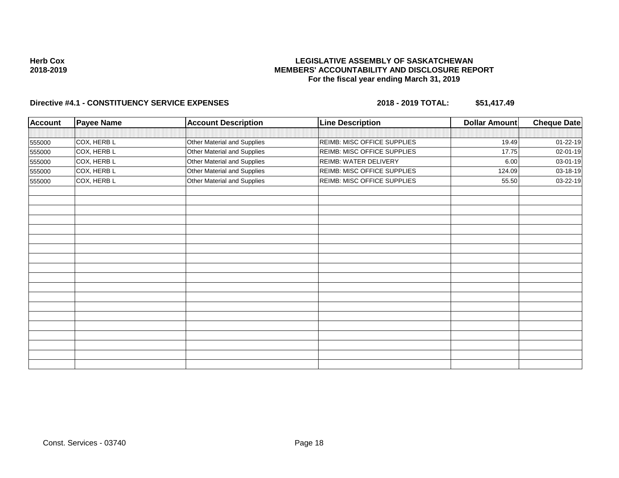### **LEGISLATIVE ASSEMBLY OF SASKATCHEWAN MEMBERS' ACCOUNTABILITY AND DISCLOSURE REPORT For the fiscal year ending March 31, 2019**

# Directive #4.1 - CONSTITUENCY SERVICE EXPENSES 2018 - 2018 - 2019 TOTAL: \$51,417.49

| <b>Account</b> | <b>Payee Name</b> | <b>Account Description</b>  | <b>Line Description</b>     | Dollar Amount | <b>Cheque Date</b> |
|----------------|-------------------|-----------------------------|-----------------------------|---------------|--------------------|
|                |                   |                             |                             |               |                    |
| 555000         | COX, HERB L       | Other Material and Supplies | REIMB: MISC OFFICE SUPPLIES | 19.49         | 01-22-19           |
| 555000         | COX, HERB L       | Other Material and Supplies | REIMB: MISC OFFICE SUPPLIES | 17.75         | 02-01-19           |
| 555000         | COX, HERB L       | Other Material and Supplies | REIMB: WATER DELIVERY       | 6.00          | 03-01-19           |
| 555000         | COX, HERB L       | Other Material and Supplies | REIMB: MISC OFFICE SUPPLIES | 124.09        | 03-18-19           |
| 555000         | COX, HERB L       | Other Material and Supplies | REIMB: MISC OFFICE SUPPLIES | 55.50         | 03-22-19           |
|                |                   |                             |                             |               |                    |
|                |                   |                             |                             |               |                    |
|                |                   |                             |                             |               |                    |
|                |                   |                             |                             |               |                    |
|                |                   |                             |                             |               |                    |
|                |                   |                             |                             |               |                    |
|                |                   |                             |                             |               |                    |
|                |                   |                             |                             |               |                    |
|                |                   |                             |                             |               |                    |
|                |                   |                             |                             |               |                    |
|                |                   |                             |                             |               |                    |
|                |                   |                             |                             |               |                    |
|                |                   |                             |                             |               |                    |
|                |                   |                             |                             |               |                    |
|                |                   |                             |                             |               |                    |
|                |                   |                             |                             |               |                    |
|                |                   |                             |                             |               |                    |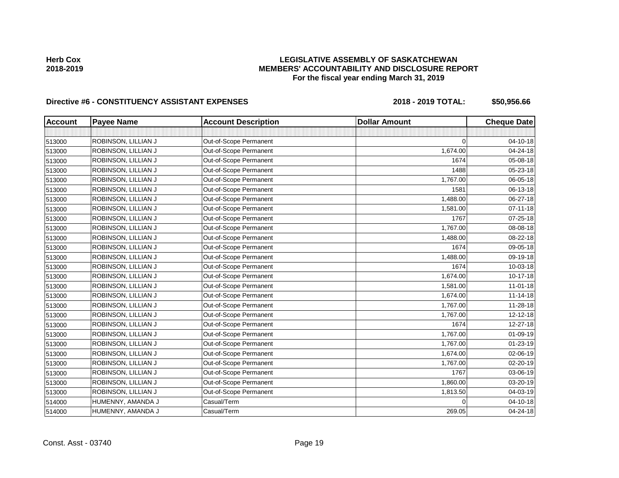## Directive #6 - CONSTITUENCY ASSISTANT EXPENSES 2018 - 2018 - 2019 TOTAL: \$50,956.66

| <b>Account</b> | <b>Payee Name</b>   | <b>Account Description</b> | <b>Dollar Amount</b> | <b>Cheque Date</b> |
|----------------|---------------------|----------------------------|----------------------|--------------------|
|                |                     |                            |                      |                    |
| 513000         | ROBINSON, LILLIAN J | Out-of-Scope Permanent     | $\Omega$             | 04-10-18           |
| 513000         | ROBINSON, LILLIAN J | Out-of-Scope Permanent     | 1,674.00             | 04-24-18           |
| 513000         | ROBINSON, LILLIAN J | Out-of-Scope Permanent     | 1674                 | 05-08-18           |
| 513000         | ROBINSON, LILLIAN J | Out-of-Scope Permanent     | 1488                 | 05-23-18           |
| 513000         | ROBINSON, LILLIAN J | Out-of-Scope Permanent     | 1,767.00             | 06-05-18           |
| 513000         | ROBINSON, LILLIAN J | Out-of-Scope Permanent     | 1581                 | 06-13-18           |
| 513000         | ROBINSON, LILLIAN J | Out-of-Scope Permanent     | 1,488.00             | 06-27-18           |
| 513000         | ROBINSON, LILLIAN J | Out-of-Scope Permanent     | 1,581.00             | $07 - 11 - 18$     |
| 513000         | ROBINSON, LILLIAN J | Out-of-Scope Permanent     | 1767                 | 07-25-18           |
| 513000         | ROBINSON, LILLIAN J | Out-of-Scope Permanent     | 1,767.00             | 08-08-18           |
| 513000         | ROBINSON, LILLIAN J | Out-of-Scope Permanent     | 1,488.00             | 08-22-18           |
| 513000         | ROBINSON, LILLIAN J | Out-of-Scope Permanent     | 1674                 | 09-05-18           |
| 513000         | ROBINSON, LILLIAN J | Out-of-Scope Permanent     | 1,488.00             | 09-19-18           |
| 513000         | ROBINSON, LILLIAN J | Out-of-Scope Permanent     | 1674                 | 10-03-18           |
| 513000         | ROBINSON, LILLIAN J | Out-of-Scope Permanent     | 1,674.00             | $10-17-18$         |
| 513000         | ROBINSON, LILLIAN J | Out-of-Scope Permanent     | 1,581.00             | $11-01-18$         |
| 513000         | ROBINSON, LILLIAN J | Out-of-Scope Permanent     | 1,674.00             | $11 - 14 - 18$     |
| 513000         | ROBINSON, LILLIAN J | Out-of-Scope Permanent     | 1,767.00             | 11-28-18           |
| 513000         | ROBINSON, LILLIAN J | Out-of-Scope Permanent     | 1,767.00             | 12-12-18           |
| 513000         | ROBINSON, LILLIAN J | Out-of-Scope Permanent     | 1674                 | 12-27-18           |
| 513000         | ROBINSON, LILLIAN J | Out-of-Scope Permanent     | 1,767.00             | 01-09-19           |
| 513000         | ROBINSON, LILLIAN J | Out-of-Scope Permanent     | 1,767.00             | $01 - 23 - 19$     |
| 513000         | ROBINSON, LILLIAN J | Out-of-Scope Permanent     | 1,674.00             | 02-06-19           |
| 513000         | ROBINSON, LILLIAN J | Out-of-Scope Permanent     | 1,767.00             | 02-20-19           |
| 513000         | ROBINSON, LILLIAN J | Out-of-Scope Permanent     | 1767                 | 03-06-19           |
| 513000         | ROBINSON, LILLIAN J | Out-of-Scope Permanent     | 1,860.00             | 03-20-19           |
| 513000         | ROBINSON, LILLIAN J | Out-of-Scope Permanent     | 1,813.50             | 04-03-19           |
| 514000         | HUMENNY, AMANDA J   | Casual/Term                | $\Omega$             | 04-10-18           |
| 514000         | HUMENNY, AMANDA J   | Casual/Term                | 269.05               | 04-24-18           |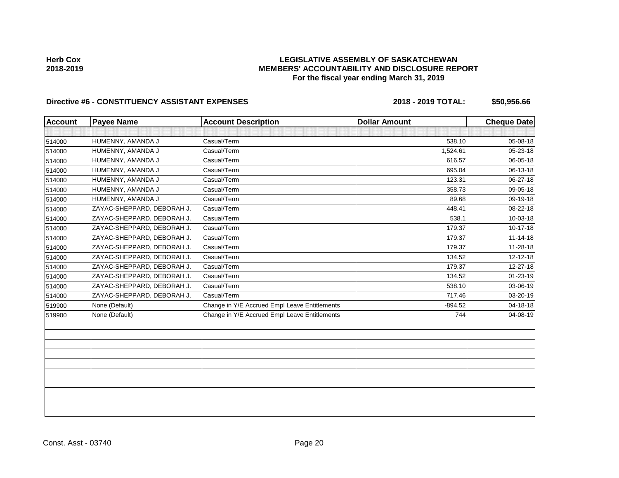## Directive #6 - CONSTITUENCY ASSISTANT EXPENSES 2018 - 2018 - 2019 TOTAL: \$50,956.66

| <b>Account</b> | <b>Payee Name</b>          | <b>Account Description</b>                    | <b>Dollar Amount</b> | <b>Cheque Date</b> |
|----------------|----------------------------|-----------------------------------------------|----------------------|--------------------|
|                |                            |                                               |                      |                    |
| 514000         | HUMENNY, AMANDA J          | Casual/Term                                   | 538.10               | 05-08-18           |
| 514000         | HUMENNY, AMANDA J          | Casual/Term                                   | 1,524.61             | 05-23-18           |
| 514000         | HUMENNY, AMANDA J          | Casual/Term                                   | 616.57               | 06-05-18           |
| 514000         | HUMENNY, AMANDA J          | Casual/Term                                   | 695.04               | 06-13-18           |
| 514000         | HUMENNY, AMANDA J          | Casual/Term                                   | 123.31               | 06-27-18           |
| 514000         | HUMENNY, AMANDA J          | Casual/Term                                   | 358.73               | 09-05-18           |
| 514000         | HUMENNY, AMANDA J          | Casual/Term                                   | 89.68                | 09-19-18           |
| 514000         | ZAYAC-SHEPPARD, DEBORAH J. | Casual/Term                                   | 448.41               | 08-22-18           |
| 514000         | ZAYAC-SHEPPARD, DEBORAH J. | Casual/Term                                   | 538.1                | 10-03-18           |
| 514000         | ZAYAC-SHEPPARD, DEBORAH J. | Casual/Term                                   | 179.37               | 10-17-18           |
| 514000         | ZAYAC-SHEPPARD, DEBORAH J. | Casual/Term                                   | 179.37               | $11 - 14 - 18$     |
| 514000         | ZAYAC-SHEPPARD, DEBORAH J. | Casual/Term                                   | 179.37               | $11 - 28 - 18$     |
| 514000         | ZAYAC-SHEPPARD, DEBORAH J. | Casual/Term                                   | 134.52               | 12-12-18           |
| 514000         | ZAYAC-SHEPPARD, DEBORAH J. | Casual/Term                                   | 179.37               | 12-27-18           |
| 514000         | ZAYAC-SHEPPARD, DEBORAH J. | Casual/Term                                   | 134.52               | 01-23-19           |
| 514000         | ZAYAC-SHEPPARD, DEBORAH J. | Casual/Term                                   | 538.10               | 03-06-19           |
| 514000         | ZAYAC-SHEPPARD, DEBORAH J. | Casual/Term                                   | 717.46               | 03-20-19           |
| 519900         | None (Default)             | Change in Y/E Accrued Empl Leave Entitlements | $-894.52$            | 04-18-18           |
| 519900         | None (Default)             | Change in Y/E Accrued Empl Leave Entitlements | 744                  | 04-08-19           |
|                |                            |                                               |                      |                    |
|                |                            |                                               |                      |                    |
|                |                            |                                               |                      |                    |
|                |                            |                                               |                      |                    |
|                |                            |                                               |                      |                    |
|                |                            |                                               |                      |                    |
|                |                            |                                               |                      |                    |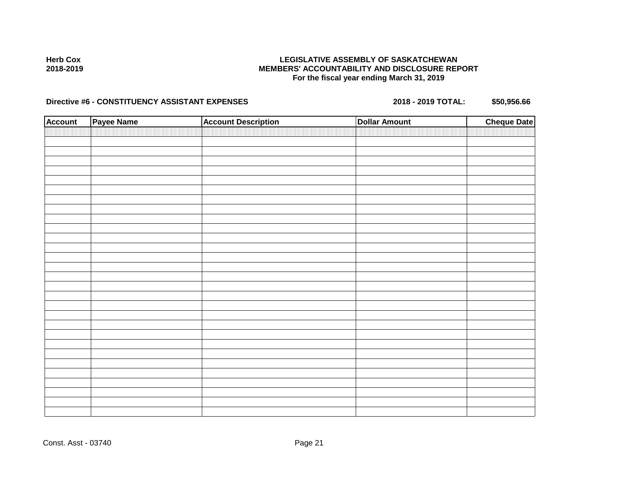### **LEGISLATIVE ASSEMBLY OF SASKATCHEWAN MEMBERS' ACCOUNTABILITY AND DISCLOSURE REPORT For the fiscal year ending March 31, 2019**

# Directive #6 - CONSTITUENCY ASSISTANT EXPENSES 2018 - 2018 - 2019 TOTAL: \$50,956.66

| <b>Account</b> | Payee Name | <b>Account Description</b> | <b>Dollar Amount</b> | <b>Cheque Date</b> |
|----------------|------------|----------------------------|----------------------|--------------------|
|                |            |                            |                      |                    |
|                |            |                            |                      |                    |
|                |            |                            |                      |                    |
|                |            |                            |                      |                    |
|                |            |                            |                      |                    |
|                |            |                            |                      |                    |
|                |            |                            |                      |                    |
|                |            |                            |                      |                    |
|                |            |                            |                      |                    |
|                |            |                            |                      |                    |
|                |            |                            |                      |                    |
|                |            |                            |                      |                    |
|                |            |                            |                      |                    |
|                |            |                            |                      |                    |
|                |            |                            |                      |                    |
|                |            |                            |                      |                    |
|                |            |                            |                      |                    |
|                |            |                            |                      |                    |
|                |            |                            |                      |                    |
|                |            |                            |                      |                    |
|                |            |                            |                      |                    |
|                |            |                            |                      |                    |
|                |            |                            |                      |                    |
|                |            |                            |                      |                    |
|                |            |                            |                      |                    |
|                |            |                            |                      |                    |
|                |            |                            |                      |                    |
|                |            |                            |                      |                    |
|                |            |                            |                      |                    |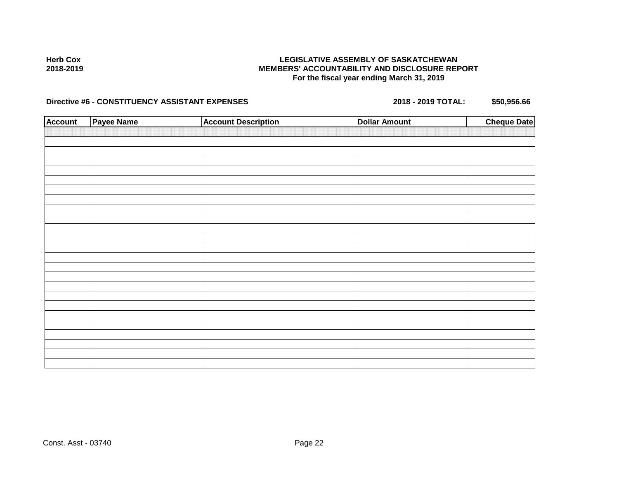### **LEGISLATIVE ASSEMBLY OF SASKATCHEWAN MEMBERS' ACCOUNTABILITY AND DISCLOSURE REPORT For the fiscal year ending March 31, 2019**

# Directive #6 - CONSTITUENCY ASSISTANT EXPENSES 2018 - 2018 - 2019 TOTAL: \$50,956.66

| <b>Account</b> | Payee Name | <b>Account Description</b> | <b>Dollar Amount</b> | <b>Cheque Date</b> |
|----------------|------------|----------------------------|----------------------|--------------------|
|                |            |                            |                      |                    |
|                |            |                            |                      |                    |
|                |            |                            |                      |                    |
|                |            |                            |                      |                    |
|                |            |                            |                      |                    |
|                |            |                            |                      |                    |
|                |            |                            |                      |                    |
|                |            |                            |                      |                    |
|                |            |                            |                      |                    |
|                |            |                            |                      |                    |
|                |            |                            |                      |                    |
|                |            |                            |                      |                    |
|                |            |                            |                      |                    |
|                |            |                            |                      |                    |
|                |            |                            |                      |                    |
|                |            |                            |                      |                    |
|                |            |                            |                      |                    |
|                |            |                            |                      |                    |
|                |            |                            |                      |                    |
|                |            |                            |                      |                    |
|                |            |                            |                      |                    |
|                |            |                            |                      |                    |
|                |            |                            |                      |                    |
|                |            |                            |                      |                    |